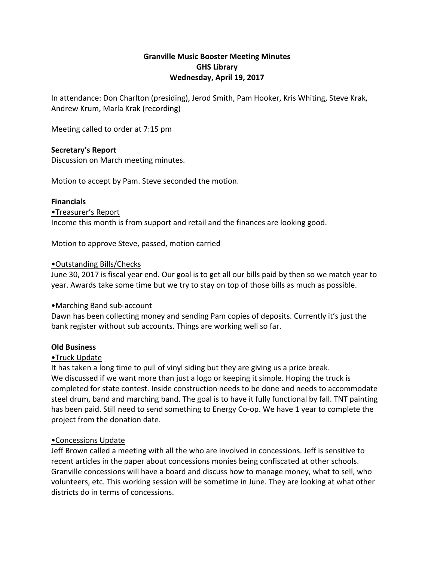# **Granville Music Booster Meeting Minutes GHS Library** Wednesday, April 19, 2017

In attendance: Don Charlton (presiding), Jerod Smith, Pam Hooker, Kris Whiting, Steve Krak, Andrew Krum, Marla Krak (recording)

Meeting called to order at 7:15 pm

## **Secretary's Report**

Discussion on March meeting minutes.

Motion to accept by Pam. Steve seconded the motion.

#### **Financials**

•Treasurer's Report Income this month is from support and retail and the finances are looking good.

Motion to approve Steve, passed, motion carried

#### • Outstanding Bills/Checks

June 30, 2017 is fiscal year end. Our goal is to get all our bills paid by then so we match year to year. Awards take some time but we try to stay on top of those bills as much as possible.

## • Marching Band sub-account

Dawn has been collecting money and sending Pam copies of deposits. Currently it's just the bank register without sub accounts. Things are working well so far.

## **Old Business**

## •Truck Update

It has taken a long time to pull of vinyl siding but they are giving us a price break. We discussed if we want more than just a logo or keeping it simple. Hoping the truck is completed for state contest. Inside construction needs to be done and needs to accommodate steel drum, band and marching band. The goal is to have it fully functional by fall. TNT painting has been paid. Still need to send something to Energy Co-op. We have 1 year to complete the project from the donation date.

## •Concessions Update

Jeff Brown called a meeting with all the who are involved in concessions. Jeff is sensitive to recent articles in the paper about concessions monies being confiscated at other schools. Granville concessions will have a board and discuss how to manage money, what to sell, who volunteers, etc. This working session will be sometime in June. They are looking at what other districts do in terms of concessions.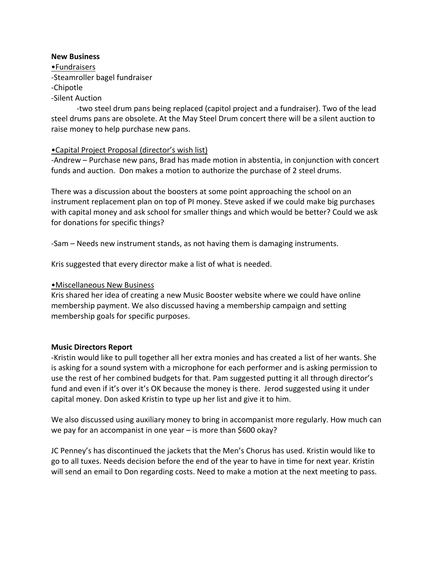#### **New Business**

•Fundraisers -Steamroller bagel fundraiser -Chipotle -Silent Auction

-two steel drum pans being replaced (capitol project and a fundraiser). Two of the lead steel drums pans are obsolete. At the May Steel Drum concert there will be a silent auction to raise money to help purchase new pans.

# •Capital Project Proposal (director's wish list)

-Andrew – Purchase new pans, Brad has made motion in abstentia, in conjunction with concert funds and auction. Don makes a motion to authorize the purchase of 2 steel drums.

There was a discussion about the boosters at some point approaching the school on an instrument replacement plan on top of PI money. Steve asked if we could make big purchases with capital money and ask school for smaller things and which would be better? Could we ask for donations for specific things?

-Sam – Needs new instrument stands, as not having them is damaging instruments.

Kris suggested that every director make a list of what is needed.

## •Miscellaneous New Business

Kris shared her idea of creating a new Music Booster website where we could have online membership payment. We also discussed having a membership campaign and setting membership goals for specific purposes.

#### **Music Directors Report**

-Kristin would like to pull together all her extra monies and has created a list of her wants. She is asking for a sound system with a microphone for each performer and is asking permission to use the rest of her combined budgets for that. Pam suggested putting it all through director's fund and even if it's over it's OK because the money is there. Jerod suggested using it under capital money. Don asked Kristin to type up her list and give it to him.

We also discussed using auxiliary money to bring in accompanist more regularly. How much can we pay for an accompanist in one year  $-$  is more than \$600 okay?

JC Penney's has discontinued the jackets that the Men's Chorus has used. Kristin would like to go to all tuxes. Needs decision before the end of the year to have in time for next year. Kristin will send an email to Don regarding costs. Need to make a motion at the next meeting to pass.